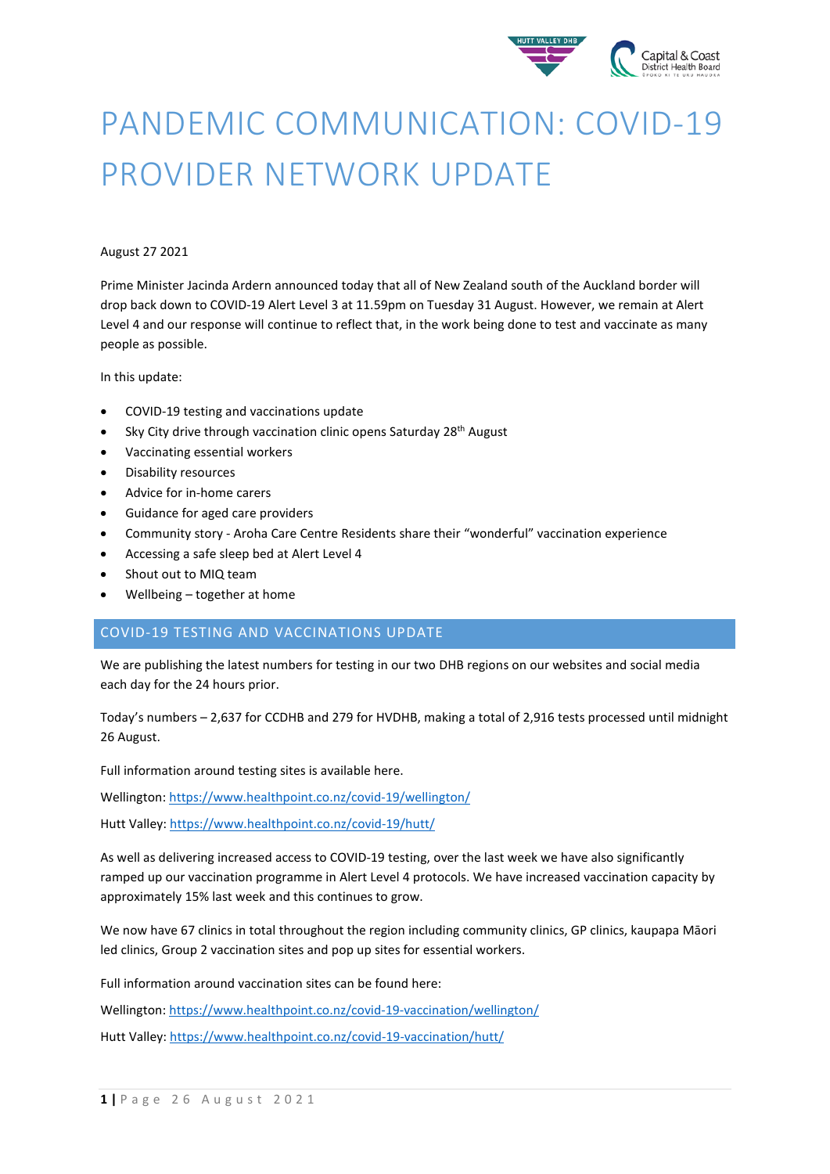

# PANDEMIC COMMUNICATION: COVID-19 PROVIDER NETWORK UPDATE

## August 27 2021

Prime Minister Jacinda Ardern announced today that all of New Zealand south of the Auckland border will drop back down to COVID-19 Alert Level 3 at 11.59pm on Tuesday 31 August. However, we remain at Alert Level 4 and our response will continue to reflect that, in the work being done to test and vaccinate as many people as possible.

In this update:

- COVID-19 testing and vaccinations update
- Sky City drive through vaccination clinic opens Saturday 28<sup>th</sup> August
- Vaccinating essential workers
- Disability resources
- Advice for in-home carers
- Guidance for aged care providers
- Community story Aroha Care Centre Residents share their "wonderful" vaccination experience
- Accessing a safe sleep bed at Alert Level 4
- Shout out to MIQ team
- Wellbeing together at home

# COVID-19 TESTING AND VACCINATIONS UPDATE

We are publishing the latest numbers for testing in our two DHB region[s on our websites](https://www.ccdhb.org.nz/our-services/covid-19-community-based-assessment-centres-cbacs/covid-19-testing-numbers/) and social media each day for the 24 hours prior.

Today's numbers – 2,637 for CCDHB and 279 for HVDHB, making a total of 2,916 tests processed until midnight 26 August.

Full information around testing sites is available here.

Wellington[: https://www.healthpoint.co.nz/covid-19/wellington/](https://www.healthpoint.co.nz/covid-19/wellington/)

Hutt Valley:<https://www.healthpoint.co.nz/covid-19/hutt/>

As well as delivering increased access to COVID-19 testing, over the last week we have also significantly ramped up our vaccination programme in Alert Level 4 protocols. We have increased vaccination capacity by approximately 15% last week and this continues to grow.

We now have 67 clinics in total throughout the region including community clinics, GP clinics, kaupapa Māori led clinics, Group 2 vaccination sites and pop up sites for essential workers.

Full information around vaccination sites can be found here:

Wellington[: https://www.healthpoint.co.nz/covid-19-vaccination/wellington/](https://www.healthpoint.co.nz/covid-19-vaccination/wellington/)

Hutt Valley:<https://www.healthpoint.co.nz/covid-19-vaccination/hutt/>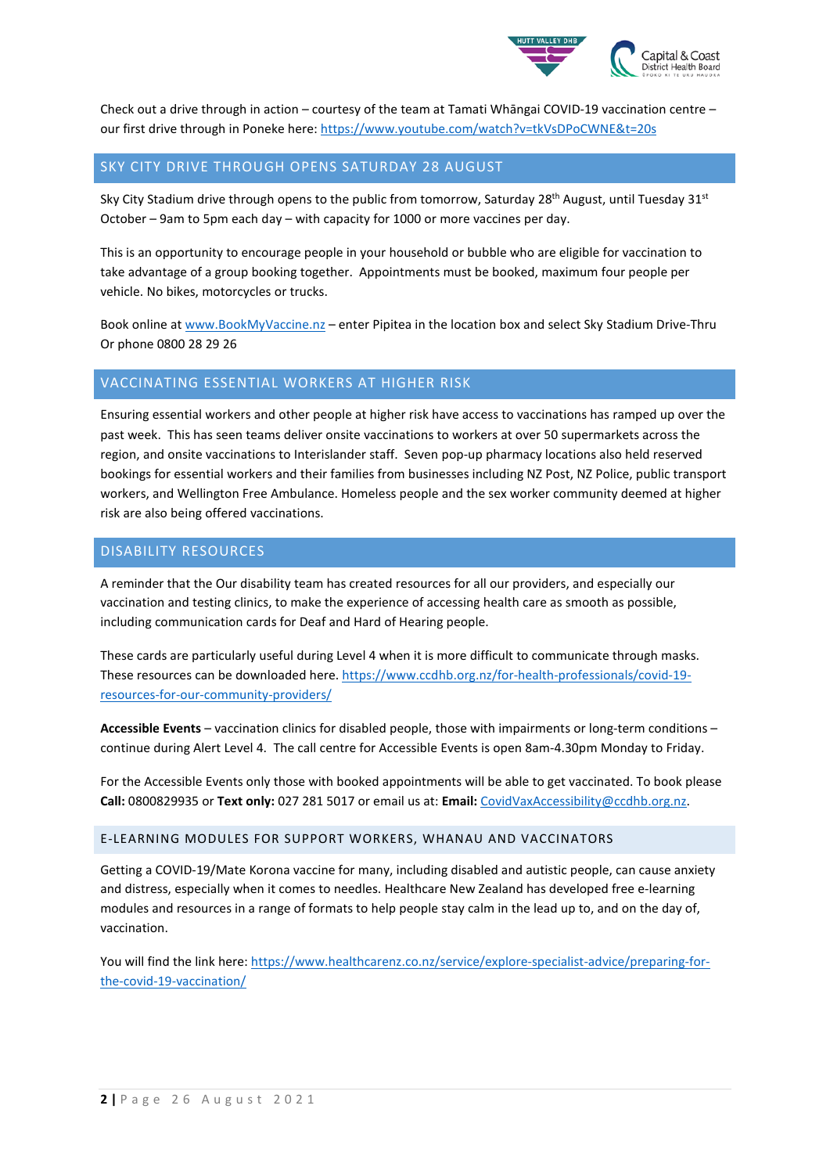

Check out a drive through in action – courtesy of the team at Tamati Whāngai COVID-19 vaccination centre – our first drive through in Poneke here: https://www.youtube.com/watch?v=tkVsDPoCWNE&t=20s

## SKY CITY DRIVE THROUGH OPENS SATURDAY 28 AUGUST

Sky City Stadium drive through opens to the public from tomorrow, Saturday 28<sup>th</sup> August, until Tuesday 31<sup>st</sup> October – 9am to 5pm each day – with capacity for 1000 or more vaccines per day.

This is an opportunity to encourage people in your household or bubble who are eligible for vaccination to take advantage of a group booking together. Appointments must be booked, maximum four people per vehicle. No bikes, motorcycles or trucks.

Book online at [www.BookMyVaccine.nz](http://www.bookmyvaccine.nz/) – enter Pipitea in the location box and select Sky Stadium Drive-Thru Or phone 0800 28 29 26

# VACCINATING ESSENTIAL WORKERS AT HIGHER RISK

Ensuring essential workers and other people at higher risk have access to vaccinations has ramped up over the past week. This has seen teams deliver onsite vaccinations to workers at over 50 supermarkets across the region, and onsite vaccinations to Interislander staff. Seven pop-up pharmacy locations also held reserved bookings for essential workers and their families from businesses including NZ Post, NZ Police, public transport workers, and Wellington Free Ambulance. Homeless people and the sex worker community deemed at higher risk are also being offered vaccinations.

## DISABILITY RESOURCES

A reminder that the Our disability team has created resources for all our providers, and especially our vaccination and testing clinics, to make the experience of accessing health care as smooth as possible, including communication cards for Deaf and Hard of Hearing people.

These cards are particularly useful during Level 4 when it is more difficult to communicate through masks. These resources can be downloaded here. [https://www.ccdhb.org.nz/for-health-professionals/covid-19](https://www.ccdhb.org.nz/for-health-professionals/covid-19-resources-for-our-community-providers/) [resources-for-our-community-providers/](https://www.ccdhb.org.nz/for-health-professionals/covid-19-resources-for-our-community-providers/)

**Accessible Events** – vaccination clinics for disabled people, those with impairments or long-term conditions – continue during Alert Level 4. The call centre for Accessible Events is open 8am-4.30pm Monday to Friday.

For the Accessible Events only those with booked appointments will be able to get vaccinated. To book please **Call:** 0800829935 or **Text only:** 027 281 5017 or email us at: **Email:** [CovidVaxAccessibility@ccdhb.org.nz.](mailto:CovidVaxAccessibility@ccdhb.org.nz)

## E-LEARNING MODULES FOR SUPPORT WORKERS, WHANAU AND VACCINATORS

Getting a COVID-19/Mate Korona vaccine for many, including disabled and autistic people, can cause anxiety and distress, especially when it comes to needles. Healthcare New Zealand has developed free e-learning modules and resources in a range of formats to help people stay calm in the lead up to, and on the day of, vaccination.

You will find the link here: [https://www.healthcarenz.co.nz/service/explore-specialist-advice/preparing-for](https://www.healthcarenz.co.nz/service/explore-specialist-advice/preparing-for-the-covid-19-vaccination/)[the-covid-19-vaccination/](https://www.healthcarenz.co.nz/service/explore-specialist-advice/preparing-for-the-covid-19-vaccination/)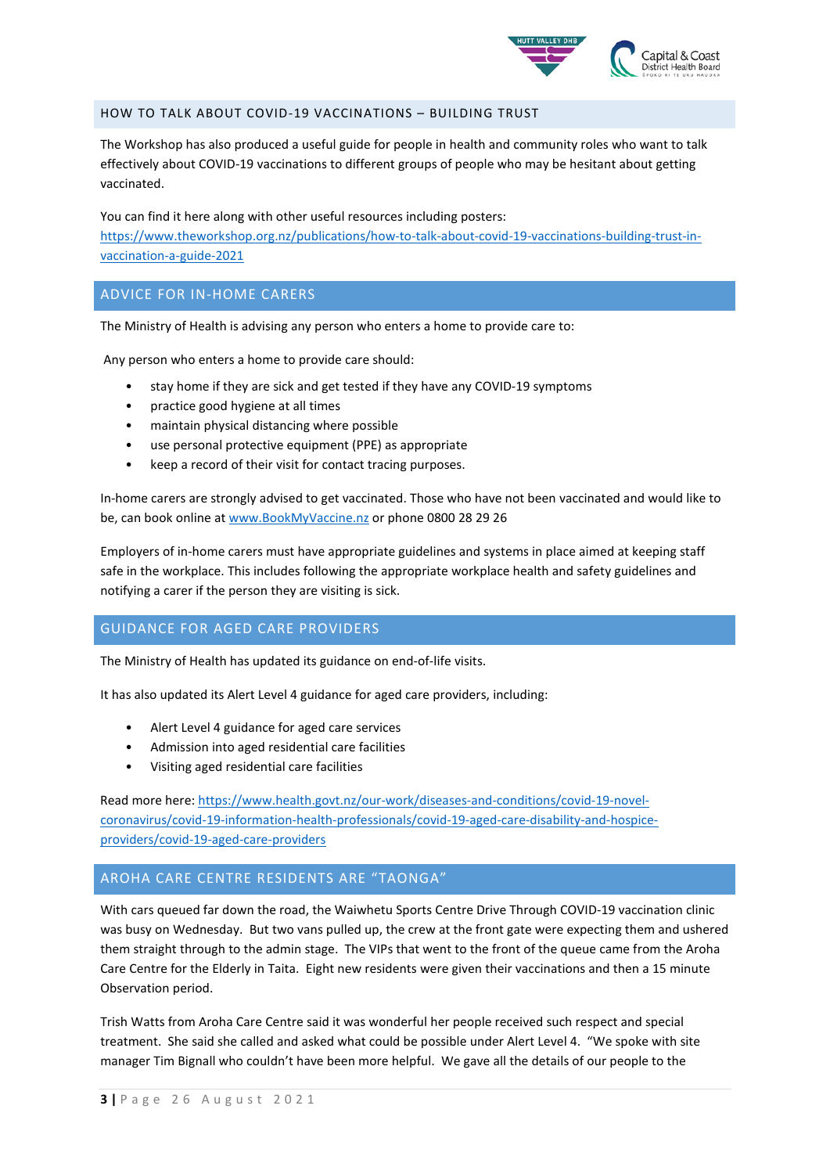

## HOW TO TALK ABOUT COVID-19 VACCINATIONS – BUILDING TRUST

The Workshop has also produced a useful guide for people in health and community roles who want to talk effectively about COVID-19 vaccinations to different groups of people who may be hesitant about getting vaccinated.

You can find it here along with other useful resources including posters: https://www.theworkshop.org.nz/publications/how-to-talk-about-covid-19-vaccinations-building-trust-invaccination-a-guide-2021

## ADVICE FOR IN-HOME CARERS

The Ministry of Health is advising any person who enters a home to provide care to:

Any person who enters a home to provide care should:

- stay home if they are sick and get tested if they have any COVID-19 symptoms
- practice good hygiene at all times
- maintain physical distancing where possible
- use personal protective equipment (PPE) as appropriate
- keep a record of their visit for contact tracing purposes.

In-home carers are strongly advised to get vaccinated. Those who have not been vaccinated and would like to be, can book online at [www.BookMyVaccine.nz](http://www.bookmyvaccine.nz/) or phone 0800 28 29 26

Employers of in-home carers must have appropriate guidelines and systems in place aimed at keeping staff safe in the workplace. This includes following the appropriate workplace health and safety guidelines and notifying a carer if the person they are visiting is sick.

# GUIDANCE FOR AGED CARE PROVIDERS

The Ministry of Health has updated its guidance on end-of-life visits.

It has also updated its Alert Level 4 guidance for aged care providers, including:

- Alert Level 4 guidance for aged care services
- Admission into aged residential care facilities
- Visiting aged residential care facilities

Read more here: [https://www.health.govt.nz/our-work/diseases-and-conditions/covid-19-novel](https://www.health.govt.nz/our-work/diseases-and-conditions/covid-19-novel-coronavirus/covid-19-information-health-professionals/covid-19-aged-care-disability-and-hospice-providers/covid-19-aged-care-providers)[coronavirus/covid-19-information-health-professionals/covid-19-aged-care-disability-and-hospice](https://www.health.govt.nz/our-work/diseases-and-conditions/covid-19-novel-coronavirus/covid-19-information-health-professionals/covid-19-aged-care-disability-and-hospice-providers/covid-19-aged-care-providers)[providers/covid-19-aged-care-providers](https://www.health.govt.nz/our-work/diseases-and-conditions/covid-19-novel-coronavirus/covid-19-information-health-professionals/covid-19-aged-care-disability-and-hospice-providers/covid-19-aged-care-providers)

# AROHA CARE CENTRE RESIDENTS ARE "TAONGA"

With cars queued far down the road, the Waiwhetu Sports Centre Drive Through COVID-19 vaccination clinic was busy on Wednesday. But two vans pulled up, the crew at the front gate were expecting them and ushered them straight through to the admin stage. The VIPs that went to the front of the queue came from the Aroha Care Centre for the Elderly in Taita. Eight new residents were given their vaccinations and then a 15 minute Observation period.

Trish Watts from Aroha Care Centre said it was wonderful her people received such respect and special treatment. She said she called and asked what could be possible under Alert Level 4. "We spoke with site manager Tim Bignall who couldn't have been more helpful. We gave all the details of our people to the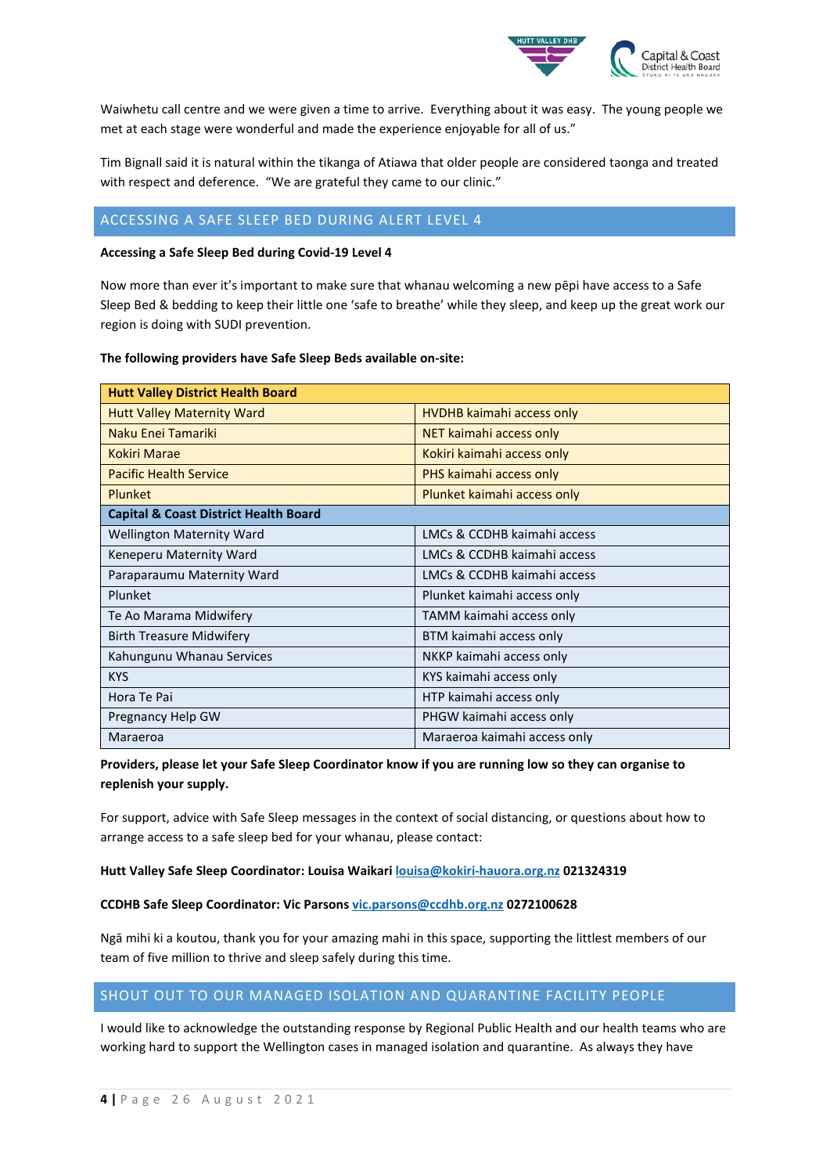

Waiwhetu call centre and we were given a time to arrive. Everything about it was easy. The young people we met at each stage were wonderful and made the experience enjoyable for all of us."

Tim Bignall said it is natural within the tikanga of Atiawa that older people are considered taonga and treated with respect and deference. "We are grateful they came to our clinic."

# ACCESSING A SAFE SLEEP BED DURING ALERT LEVEL 4

#### **Accessing a Safe Sleep Bed during Covid-19 Level 4**

Now more than ever it's important to make sure that whanau welcoming a new pēpi have access to a Safe Sleep Bed & bedding to keep their little one 'safe to breathe' while they sleep, and keep up the great work our region is doing with SUDI prevention.

#### **The following providers have Safe Sleep Beds available on-site:**

| <b>Hutt Valley District Health Board</b>         |                                  |
|--------------------------------------------------|----------------------------------|
| <b>Hutt Valley Maternity Ward</b>                | <b>HVDHB</b> kaimahi access only |
| Naku Enei Tamariki                               | NET kaimahi access only          |
| <b>Kokiri Marae</b>                              | Kokiri kaimahi access only       |
| <b>Pacific Health Service</b>                    | PHS kaimahi access only          |
| <b>Plunket</b>                                   | Plunket kaimahi access only      |
| <b>Capital &amp; Coast District Health Board</b> |                                  |
| <b>Wellington Maternity Ward</b>                 | LMCs & CCDHB kaimahi access      |
| Keneperu Maternity Ward                          | LMCs & CCDHB kaimahi access      |
| Paraparaumu Maternity Ward                       | LMCs & CCDHB kaimahi access      |
| Plunket                                          | Plunket kaimahi access only      |
| Te Ao Marama Midwifery                           | TAMM kaimahi access only         |
| <b>Birth Treasure Midwifery</b>                  | BTM kaimahi access only          |
| Kahungunu Whanau Services                        | NKKP kaimahi access only         |
| <b>KYS</b>                                       | KYS kaimahi access only          |
| Hora Te Pai                                      | HTP kaimahi access only          |
| Pregnancy Help GW                                | PHGW kaimahi access only         |
| Maraeroa                                         | Maraeroa kaimahi access only     |

**Providers, please let your Safe Sleep Coordinator know if you are running low so they can organise to replenish your supply.**

For support, advice with Safe Sleep messages in the context of social distancing, or questions about how to arrange access to a safe sleep bed for your whanau, please contact:

#### **Hutt Valley Safe Sleep Coordinator: Louisa Waikari [louisa@kokiri-hauora.org.nz](mailto:louisa@kokiri-hauora.org.nz) 021324319**

## **CCDHB Safe Sleep Coordinator: Vic Parsons [vic.parsons@ccdhb.org.nz](mailto:vic.parsons@ccdhb.org.nz) 0272100628**

Ngā mihi ki a koutou, thank you for your amazing mahi in this space, supporting the littlest members of our team of five million to thrive and sleep safely during this time.

# SHOUT OUT TO OUR MANAGED ISOLATION AND QUARANTINE FACILITY PEOPLE

I would like to acknowledge the outstanding response by Regional Public Health and our health teams who are working hard to support the Wellington cases in managed isolation and quarantine. As always they have